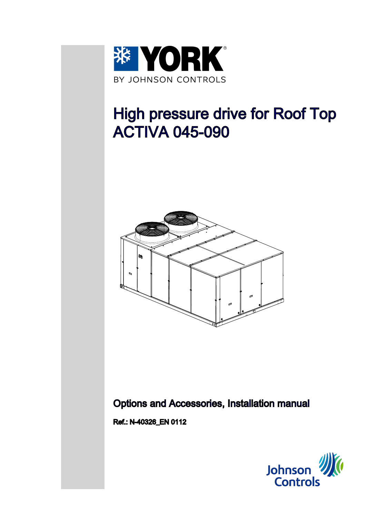

# High pressure drive for Roof Top ACTIVA 045-090



## Options and Accessories, Installation manual

Ref.: N-40326\_EN 0112

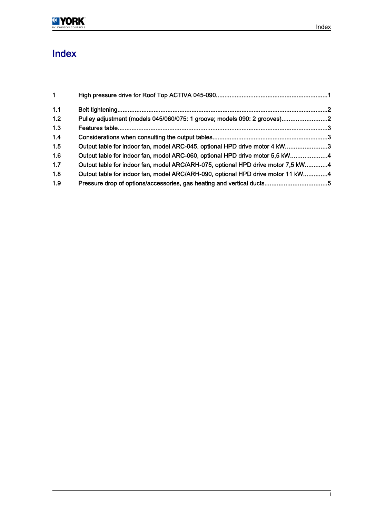

## Index

| $\mathbf 1$ |                                                                                  |  |
|-------------|----------------------------------------------------------------------------------|--|
| 1.1         |                                                                                  |  |
| 1.2         | Pulley adjustment (models 045/060/075: 1 groove; models 090: 2 grooves)2         |  |
| 1.3         |                                                                                  |  |
| 1.4         |                                                                                  |  |
| 1.5         | Output table for indoor fan, model ARC-045, optional HPD drive motor 4 kW3       |  |
| 1.6         | Output table for indoor fan, model ARC-060, optional HPD drive motor 5,5 kW4     |  |
| 1.7         | Output table for indoor fan, model ARC/ARH-075, optional HPD drive motor 7,5 kW4 |  |
| 1.8         | Output table for indoor fan, model ARC/ARH-090, optional HPD drive motor 11 kW4  |  |
| 1.9         |                                                                                  |  |
|             |                                                                                  |  |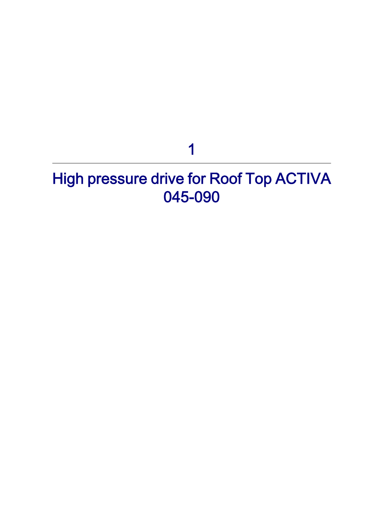## 1

## <span id="page-2-0"></span>High pressure drive for Roof Top ACTIVA 045-090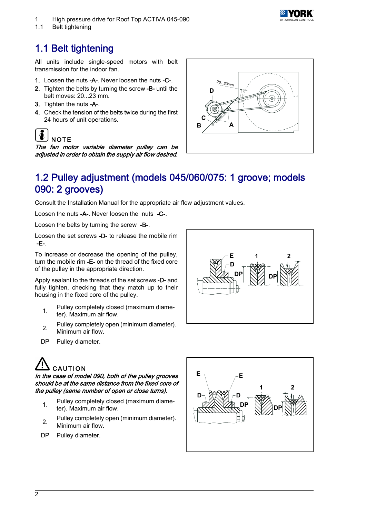<span id="page-3-0"></span>High pressure drive for Roof Top ACTIVA 045-090



1.1 Belt tightening

## 1.1 Belt tightening

All units include single-speed motors with belt transmission for the indoor fan.

- 1. Loosen the nuts -A-. Never loosen the nuts -C-.
- 2. Tighten the belts by turning the screw -B- until the belt moves: 20...23 mm.
- 3. Tighten the nuts -A-.
- 4. Check the tension of the belts twice during the first 24 hours of unit operations.

```
\tilde{\bm{v}}NOTE
```
The fan motor variable diameter pulley can be adjusted in order to obtain the supply air flow desired.



## 1.2 Pulley adjustment (models 045/060/075: 1 groove; models 090: 2 grooves)

Consult the Installation Manual for the appropriate air flow adjustment values.

Loosen the nuts -A-. Never loosen the nuts -C-.

Loosen the belts by turning the screw -B-.

Loosen the set screws -D- to release the mobile rim -E-.

To increase or decrease the opening of the pulley, turn the mobile rim -E- on the thread of the fixed core of the pulley in the appropriate direction.

Apply sealant to the threads of the set screws -D- and fully tighten, checking that they match up to their housing in the fixed core of the pulley.

- 1. Pulley completely closed (maximum diameter). Maximum air flow.
- Pulley completely open (minimum diameter). Minimum air flow.
- DP Pulley diameter.



# **CAUTION**

In the case of model 090, both of the pulley grooves should be at the same distance from the fixed core of the pulley (same number of open or close turns).

- pulley completely closed (maximum diameter). Maximum air flow.
- 2. Pulley completely open (minimum diameter). Minimum air flow.
- DP Pulley diameter.

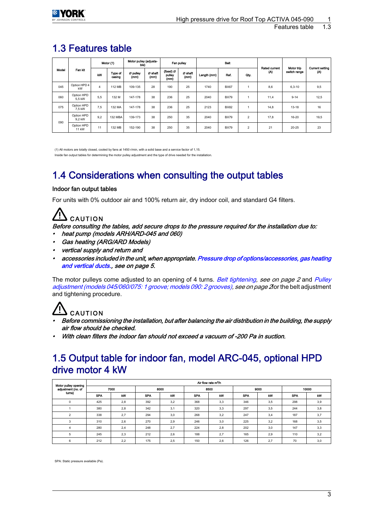| Modol | Fan kit                    | Motor (1)      |                   | Motor pulley (adjusta-<br>ble) |                 | Fan pulley                  |                 |             | Bolt        |                | <b>Rated current</b> | Motor trip   | <b>Current setting</b> |
|-------|----------------------------|----------------|-------------------|--------------------------------|-----------------|-----------------------------|-----------------|-------------|-------------|----------------|----------------------|--------------|------------------------|
|       |                            | kW             | Type of<br>casing | Ø pulley<br>(mm)               | Ø shaft<br>(mm) | (fixed) Ø<br>pulley<br>(mm) | Ø shaft<br>(mm) | Length (mm) | Rof.        | Oty.           | (A)                  | switch range | (A)                    |
| 045   | Option HPD 4<br>kW         | $\overline{4}$ | 112 MB            | 109-135                        | 28              | 190                         | 25              | 1740        | <b>BX67</b> |                | 8.6                  | $6.3 - 10$   | 9,5                    |
| 060   | Option HPD<br>5.5 kW       | 5.5            | 132 M             | 147-178                        | 38              | 236                         | 25              | 2040        | <b>BX79</b> |                | 11.4                 | $9 - 14$     | 12,5                   |
| 075   | Option HPD<br>7.5 kW       | 7.5            | 132 MA            | 147-178                        | 38              | 236                         | 25              | 2123        | <b>BX82</b> |                | 14.8                 | $13 - 18$    | 16                     |
| 090   | Option HPD<br>9.2 kW       | 9.2            | 132 MBA           | 139-173                        | 38              | 250                         | 35              | 2040        | <b>BX79</b> | $\overline{2}$ | 17.8                 | 16-20        | 19,5                   |
|       | Option HPD<br><b>11 kW</b> | 11             | 132 MB            | 152-190                        | 38              | 250                         | 35              | 2040        | <b>BX79</b> | $\overline{2}$ | 21                   | $20 - 25$    | 23                     |

## <span id="page-4-0"></span>1.3 Features table

(1) All motors are totally closed, cooled by fans at 1450 r/min, with a solid base and a service factor of 1,15. Inside fan output tables for determining the motor pulley adjustment and the type of drive needed for the installation.

## 1.4 Considerations when consulting the output tables

#### Indoor fan output tables

For units with 0% outdoor air and 100% return air, dry indoor coil, and standard G4 filters.

## CAUTION

Before consulting the tables, add secure drops to the pressure required for the installation due to: heat pump (models ARH/ARD-045 and 060)

- Gas heating (ARG/ARD Models)
- vertical supply and return and
- •accessories included in the unit, when appropriate. [Pressure drop of options/accessories, gas heating](#page-6-0) [and vertical ducts.](#page-6-0), see on page 5.

The motor pulleys come adjusted to an opening of 4 turns. [Belt tightening](#page-3-0), see on page 2 and [Pulley](#page-3-0) [adjustment \(models 045/060/075: 1 groove; models 090: 2 grooves\)](#page-3-0), see on page 2for the belt adjustment and tightening procedure.

## CAUTION

- Before commissioning the installation, but after balancing the air distribution in the building, the supply air flow should be checked.
- With clean filters the indoor fan should not exceed a vacuum of -200 Pa in suction.

### 1.5 Output table for indoor fan, model ARC-045, optional HPD drive motor 4 kW

| Motor pulley opening |            |      |            |      |            | Air flow rate m <sup>3</sup> /h |            |      |            |     |  |
|----------------------|------------|------|------------|------|------------|---------------------------------|------------|------|------------|-----|--|
| adjustment (no. of   |            | 7000 |            | 8000 |            | 8500                            |            | 9000 | 10000      |     |  |
| turns)               | <b>SPA</b> | kW   | <b>SPA</b> | kW   | <b>SPA</b> | kW                              | <b>SPA</b> | kW   | <b>SPA</b> | kW  |  |
| $\mathbf 0$          | 425        | 2,8  | 392        | 3,2  | 368        | 3,3                             | 346        | 3,5  | 298        | 3,9 |  |
|                      | 380        | 2,8  | 342        | 3,1  | 320        | 3,3                             | 297        | 3,5  | 244        | 3,8 |  |
| $\overline{2}$       | 338        | 2,7  | 294        | 3,0  | 268        | 3,2                             | 247        | 3,4  | 187        | 3,7 |  |
| 3                    | 310        | 2,6  | 270        | 2,9  | 246        | 3,0                             | 225        | 3,2  | 168        | 3,5 |  |
| 4                    | 280        | 2,4  | 248        | 2,7  | 224        | 2,8                             | 202        | 3,0  | 147        | 3,3 |  |
| 5                    | 245        | 2,3  | 212        | 2,6  | 188        | 2,7                             | 165        | 2,9  | 110        | 3,2 |  |
| 6                    | 212        | 2,2  | 175        | 2,5  | 150        | 2,6                             | 126        | 2,7  | 70         | 3,0 |  |

SPA: Static pressure available (Pa).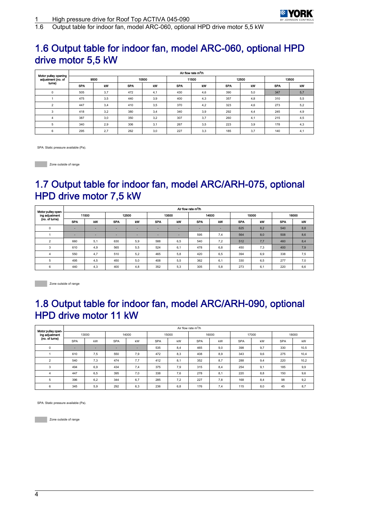

<span id="page-5-0"></span>1.6 Output table for indoor fan, model ARC-060, optional HPD drive motor 5,5 kW

### 1.6 Output table for indoor fan, model ARC-060, optional HPD drive motor 5,5 kW

| Motor pulley opening |            | Air flow rate m <sup>3</sup> /h |            |       |            |       |            |       |            |     |  |  |  |  |
|----------------------|------------|---------------------------------|------------|-------|------------|-------|------------|-------|------------|-----|--|--|--|--|
| adjustment (no. of   |            | 9500                            |            | 10500 |            | 11500 |            | 12500 | 13500      |     |  |  |  |  |
| turns)               | <b>SPA</b> | kW                              | <b>SPA</b> | kW    | <b>SPA</b> | kW    | <b>SPA</b> | kW    | <b>SPA</b> | kW  |  |  |  |  |
| 0                    | 505        | 3,7                             | 472        | 4,1   | 430        | 4,6   | 390        | 5,0   | 347        | 5,7 |  |  |  |  |
|                      | 475        | 3,5                             | 440        | 3,9   | 400        | 4,3   | 357        | 4,8   | 310        | 5,5 |  |  |  |  |
| $\overline{2}$       | 447        | 3,4                             | 410        | 3,5   | 370        | 4,2   | 323        | 4,6   | 273        | 5,2 |  |  |  |  |
| 3                    | 418        | 3,2                             | 380        | 3,4   | 340        | 3,9   | 292        | 4,4   | 245        | 4,9 |  |  |  |  |
| $\overline{4}$       | 387        | 3,0                             | 350        | 3,2   | 307        | 3,7   | 260        | 4,1   | 215        | 4,5 |  |  |  |  |
| 5                    | 340        | 2,9                             | 306        | 3,1   | 267        | 3,5   | 223        | 3,9   | 178        | 4,3 |  |  |  |  |
| 6                    | 295        | 2,7                             | 262        | 3,0   | 227        | 3,3   | 185        | 3,7   | 140        | 4,1 |  |  |  |  |

SPA: Static pressure available (Pa).

**Zone outside of range** 

## 1.7 Output table for indoor fan, model ARC/ARH-075, optional HPD drive motor 7,5 kW

| Motor pulley open- |            | Air flow rate m <sup>3</sup> /h |            |     |            |     |                          |     |            |     |            |     |  |  |
|--------------------|------------|---------------------------------|------------|-----|------------|-----|--------------------------|-----|------------|-----|------------|-----|--|--|
| ing adjustment     | 11500      |                                 | 12500      |     | 13500      |     | 14500                    |     | 15000      |     | 16000      |     |  |  |
| (no. of turns)     | <b>SPA</b> | kW                              | <b>SPA</b> | kW  | <b>SPA</b> | kW  | <b>SPA</b>               | kW  | <b>SPA</b> | kW  | <b>SPA</b> | kW  |  |  |
| 0                  | ۰.         |                                 | -          | ٠   | -          |     | $\overline{\phantom{a}}$ | ۰   | 625        | 8,2 | 540        | 8,8 |  |  |
|                    | -          | $\sim$                          |            | -   | -          |     | 595                      | 7,4 | 564        | 8,0 | 508        | 8,6 |  |  |
| $\sim$             | 660        | 5,1                             | 630        | 5,9 | 588        | 6,5 | 540                      | 7,2 | 512        | 7,7 | 460        | 8,4 |  |  |
| 3                  | 610        | 4,9                             | 565        | 5,5 | 524        | 6,1 | 478                      | 6,8 | 450        | 7,3 | 400        | 7,9 |  |  |
| 4                  | 550        | 4,7                             | 510        | 5,2 | 465        | 5,8 | 420                      | 6,5 | 394        | 6,9 | 338        | 7,5 |  |  |
|                    | 495        | 4,5                             | 450        | 5,0 | 408        | 5,5 | 362                      | 6,1 | 330        | 6,5 | 277        | 7,0 |  |  |
| 6                  | 440        | 4,3                             | 400        | 4,8 | 352        | 5,3 | 305                      | 5,8 | 273        | 6,1 | 220        | 6,6 |  |  |

**Zone outside of range** 

### 1.8 Output table for indoor fan, model ARC/ARH-090, optional HPD drive motor 11 kW

| Motor pulley open- |                          | Air flow rate $m^3/h$ |            |     |            |     |            |     |            |     |            |      |  |  |  |
|--------------------|--------------------------|-----------------------|------------|-----|------------|-----|------------|-----|------------|-----|------------|------|--|--|--|
| ing adjustment     | 13000                    |                       | 14000      |     | 15000      |     | 16000      |     | 17000      |     | 18000      |      |  |  |  |
| (no. of turns)     | <b>SPA</b>               | kW                    | <b>SPA</b> | kW  | <b>SPA</b> | kW  | <b>SPA</b> | kW  | <b>SPA</b> | kW  | <b>SPA</b> | kW   |  |  |  |
| 0                  | $\overline{\phantom{a}}$ | ۰                     |            | -   | 535        | 8,4 | 465        | 9,0 | 398        | 9,7 | 330        | 10,5 |  |  |  |
|                    | 610                      | 7,5                   | 550        | 7.9 | 472        | 8,3 | 408        | 8,9 | 343        | 9.6 | 275        | 10,4 |  |  |  |
| $\overline{c}$     | 540                      | 7,3                   | 474        | 7,7 | 412        | 8,1 | 352        | 8,7 | 288        | 9.4 | 220        | 10,2 |  |  |  |
| 3                  | 494                      | 6,9                   | 434        | 7,4 | 375        | 7,9 | 315        | 8,4 | 254        | 9,1 | 185        | 9,9  |  |  |  |
| 4                  | 447                      | 6,5                   | 395        | 7,0 | 338        | 7,6 | 278        | 8,1 | 220        | 8.8 | 150        | 9,6  |  |  |  |
| 5                  | 396                      | 6,2                   | 344        | 6,7 | 285        | 7,2 | 227        | 7,8 | 168        | 8.4 | 98         | 9,2  |  |  |  |
| 6                  | 345                      | 5,9                   | 292        | 6,3 | 236        | 6,8 | 176        | 7,4 | 115        | 8.0 | 45         | 8,7  |  |  |  |

SPA: Static pressure available (Pa).

**Zone outside of range**